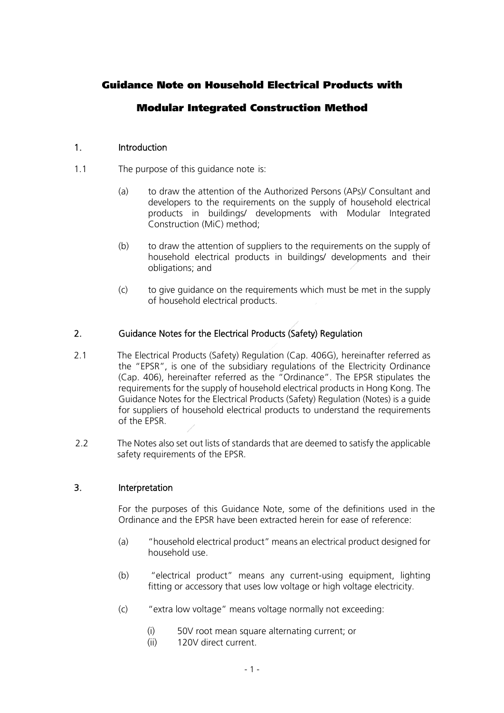# Guidance Note on Household Electrical Products with

## Modular Integrated Construction Method

#### 1. Introduction

- 1.1 The purpose of this guidance note is:
	- (a) to draw the attention of the Authorized Persons (APs)/ Consultant and developers to the requirements on the supply of household electrical products in buildings/ developments with Modular Integrated Construction (MiC) method;
	- (b) to draw the attention of suppliers to the requirements on the supply of household electrical products in buildings/ developments and their obligations; and
	- (c) to give guidance on the requirements which must be met in the supply of household electrical products.

#### 2. Guidance Notes for the Electrical Products (Safety) Regulation

- 2.1 The Electrical Products (Safety) Regulation (Cap. 406G), hereinafter referred as the "EPSR", is one of the subsidiary regulations of the Electricity Ordinance (Cap. 406), hereinafter referred as the "Ordinance". The EPSR stipulates the requirements for the supply of household electrical products in Hong Kong. The Guidance Notes for the Electrical Products (Safety) Regulation (Notes) is a guide for suppliers of household electrical products to understand the requirements of the EPSR.
- 2.2 The Notes also set out lists of standards that are deemed to satisfy the applicable safety requirements of the EPSR.

#### 3. Interpretation

For the purposes of this Guidance Note, some of the definitions used in the Ordinance and the EPSR have been extracted herein for ease of reference:

- (a) "household electrical product" means an electrical product designed for household use.
- (b) "electrical product" means any current-using equipment, lighting fitting or accessory that uses low voltage or high voltage electricity.
- (c) "extra low voltage" means voltage normally not exceeding:
	- (i) 50V root mean square alternating current; or
	- (ii) 120V direct current.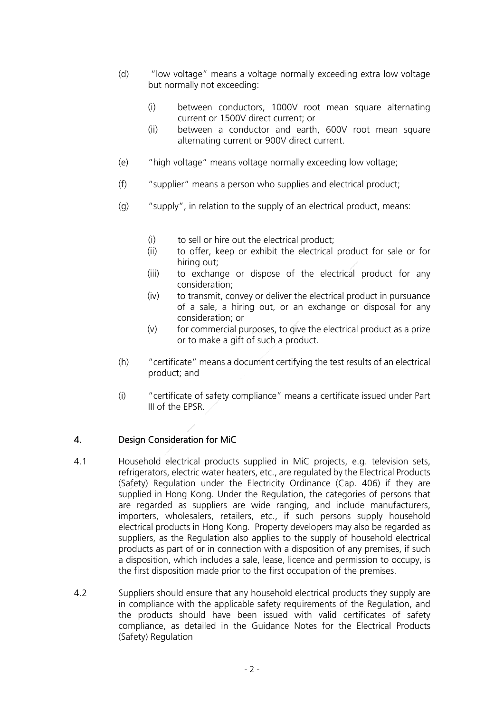- (d) "low voltage" means a voltage normally exceeding extra low voltage but normally not exceeding:
	- (i) between conductors, 1000V root mean square alternating current or 1500V direct current; or
	- (ii) between a conductor and earth, 600V root mean square alternating current or 900V direct current.
- (e) "high voltage" means voltage normally exceeding low voltage;
- (f) "supplier" means a person who supplies and electrical product;
- (g) "supply", in relation to the supply of an electrical product, means:
	- (i) to sell or hire out the electrical product;
	- (ii) to offer, keep or exhibit the electrical product for sale or for hiring out;
	- (iii) to exchange or dispose of the electrical product for any consideration;
	- (iv) to transmit, convey or deliver the electrical product in pursuance of a sale, a hiring out, or an exchange or disposal for any consideration; or
	- (v) for commercial purposes, to give the electrical product as a prize or to make a gift of such a product.
- (h) "certificate" means a document certifying the test results of an electrical product; and
- (i) "certificate of safety compliance" means a certificate issued under Part III of the EPSR.

#### 4. Design Consideration for MiC

- 4.1 Household electrical products supplied in MiC projects, e.g. television sets, refrigerators, electric water heaters, etc., are regulated by the Electrical Products (Safety) Regulation under the Electricity Ordinance (Cap. 406) if they are supplied in Hong Kong. Under the Regulation, the categories of persons that are regarded as suppliers are wide ranging, and include manufacturers, importers, wholesalers, retailers, etc., if such persons supply household electrical products in Hong Kong. Property developers may also be regarded as suppliers, as the Regulation also applies to the supply of household electrical products as part of or in connection with a disposition of any premises, if such a disposition, which includes a sale, lease, licence and permission to occupy, is the first disposition made prior to the first occupation of the premises.
- 4.2 Suppliers should ensure that any household electrical products they supply are in compliance with the applicable safety requirements of the Regulation, and the products should have been issued with valid certificates of safety compliance, as detailed in the Guidance Notes for the Electrical Products (Safety) Regulation